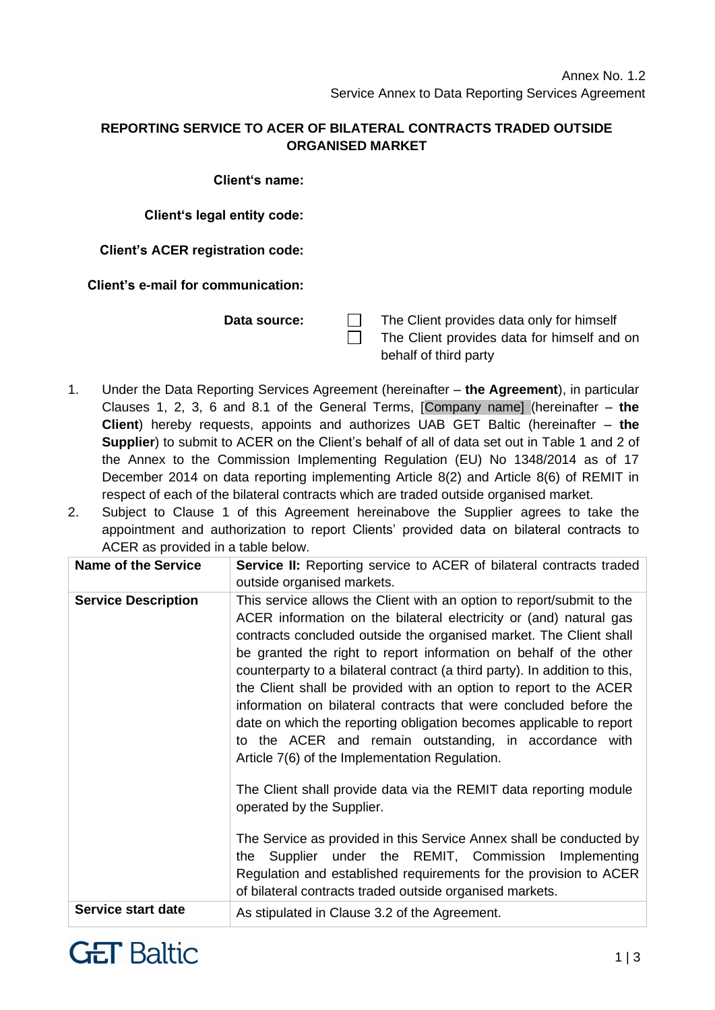## **REPORTING SERVICE TO ACER OF BILATERAL CONTRACTS TRADED OUTSIDE ORGANISED MARKET**

**Client's name:**

**Client's legal entity code:**

**Client's ACER registration code:**

**Client's e-mail for communication:**

**Data source:**  $\Box$  The Client provides data only for himself The Client provides data for himself and on behalf of third party

1. Under the Data Reporting Services Agreement (hereinafter – **the Agreement**), in particular Clauses 1, 2, 3, 6 and 8.1 of the General Terms, [Company name] (hereinafter – **the Client**) hereby requests, appoints and authorizes UAB GET Baltic (hereinafter – **the Supplier**) to submit to ACER on the Client's behalf of all of data set out in Table 1 and 2 of the Annex to the Commission Implementing Regulation (EU) No 1348/2014 as of 17 December 2014 on data reporting implementing Article 8(2) and Article 8(6) of REMIT in respect of each of the bilateral contracts which are traded outside organised market.

 $\Box$ 

2. Subject to Clause 1 of this Agreement hereinabove the Supplier agrees to take the appointment and authorization to report Clients' provided data on bilateral contracts to ACER as provided in a table below.

| <b>Name of the Service</b> | <b>Service II:</b> Reporting service to ACER of bilateral contracts traded<br>outside organised markets.                                                                                                                                                                                                                                                                                                                                                                                                                                                                                                                                                                                                                                                                                                                                                                                                                                                                                                    |
|----------------------------|-------------------------------------------------------------------------------------------------------------------------------------------------------------------------------------------------------------------------------------------------------------------------------------------------------------------------------------------------------------------------------------------------------------------------------------------------------------------------------------------------------------------------------------------------------------------------------------------------------------------------------------------------------------------------------------------------------------------------------------------------------------------------------------------------------------------------------------------------------------------------------------------------------------------------------------------------------------------------------------------------------------|
| <b>Service Description</b> | This service allows the Client with an option to report/submit to the<br>ACER information on the bilateral electricity or (and) natural gas<br>contracts concluded outside the organised market. The Client shall<br>be granted the right to report information on behalf of the other<br>counterparty to a bilateral contract (a third party). In addition to this,<br>the Client shall be provided with an option to report to the ACER<br>information on bilateral contracts that were concluded before the<br>date on which the reporting obligation becomes applicable to report<br>to the ACER and remain outstanding, in accordance with<br>Article 7(6) of the Implementation Regulation.<br>The Client shall provide data via the REMIT data reporting module<br>operated by the Supplier.<br>The Service as provided in this Service Annex shall be conducted by<br>Supplier under the REMIT, Commission Implementing<br>the<br>Regulation and established requirements for the provision to ACER |
|                            | of bilateral contracts traded outside organised markets.                                                                                                                                                                                                                                                                                                                                                                                                                                                                                                                                                                                                                                                                                                                                                                                                                                                                                                                                                    |
| Service start date         | As stipulated in Clause 3.2 of the Agreement.                                                                                                                                                                                                                                                                                                                                                                                                                                                                                                                                                                                                                                                                                                                                                                                                                                                                                                                                                               |

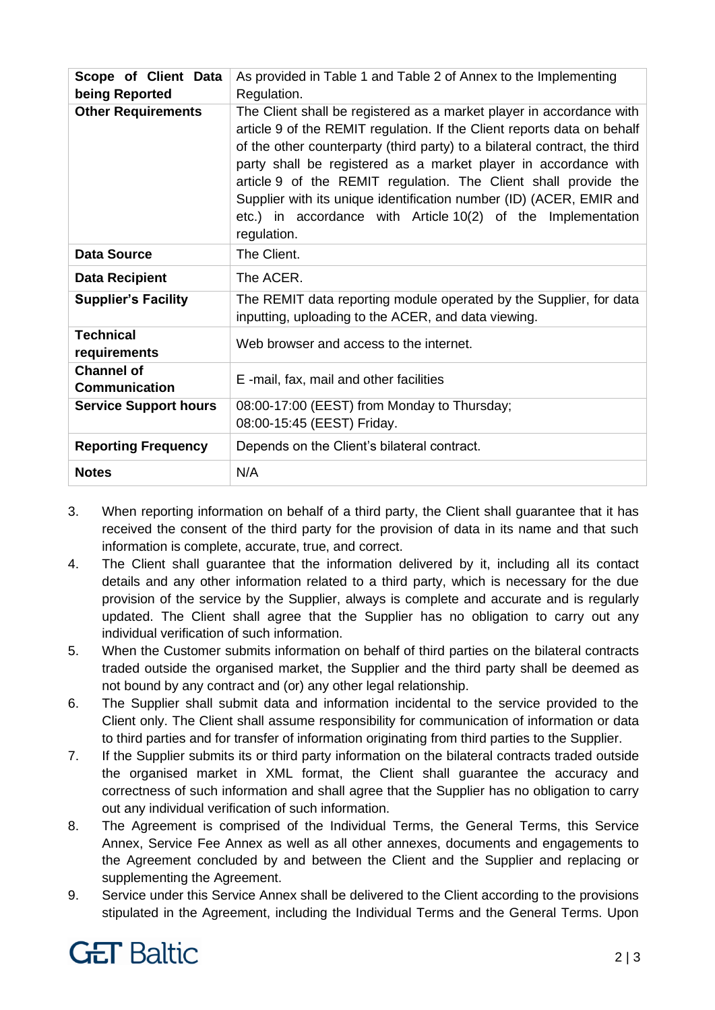| Scope of Client Data<br>being Reported    | As provided in Table 1 and Table 2 of Annex to the Implementing<br>Regulation.                                                                                                                                                                                                                                                                                                                                                                                                                                            |
|-------------------------------------------|---------------------------------------------------------------------------------------------------------------------------------------------------------------------------------------------------------------------------------------------------------------------------------------------------------------------------------------------------------------------------------------------------------------------------------------------------------------------------------------------------------------------------|
| <b>Other Requirements</b>                 | The Client shall be registered as a market player in accordance with<br>article 9 of the REMIT regulation. If the Client reports data on behalf<br>of the other counterparty (third party) to a bilateral contract, the third<br>party shall be registered as a market player in accordance with<br>article 9 of the REMIT regulation. The Client shall provide the<br>Supplier with its unique identification number (ID) (ACER, EMIR and<br>etc.) in accordance with Article 10(2) of the Implementation<br>regulation. |
| <b>Data Source</b>                        | The Client.                                                                                                                                                                                                                                                                                                                                                                                                                                                                                                               |
| <b>Data Recipient</b>                     | The ACER.                                                                                                                                                                                                                                                                                                                                                                                                                                                                                                                 |
| <b>Supplier's Facility</b>                | The REMIT data reporting module operated by the Supplier, for data<br>inputting, uploading to the ACER, and data viewing.                                                                                                                                                                                                                                                                                                                                                                                                 |
| <b>Technical</b><br>requirements          | Web browser and access to the internet.                                                                                                                                                                                                                                                                                                                                                                                                                                                                                   |
| <b>Channel of</b><br><b>Communication</b> | E-mail, fax, mail and other facilities                                                                                                                                                                                                                                                                                                                                                                                                                                                                                    |
| <b>Service Support hours</b>              | 08:00-17:00 (EEST) from Monday to Thursday;<br>08:00-15:45 (EEST) Friday.                                                                                                                                                                                                                                                                                                                                                                                                                                                 |
| <b>Reporting Frequency</b>                | Depends on the Client's bilateral contract.                                                                                                                                                                                                                                                                                                                                                                                                                                                                               |
| <b>Notes</b>                              | N/A                                                                                                                                                                                                                                                                                                                                                                                                                                                                                                                       |

- 3. When reporting information on behalf of a third party, the Client shall guarantee that it has received the consent of the third party for the provision of data in its name and that such information is complete, accurate, true, and correct.
- 4. The Client shall guarantee that the information delivered by it, including all its contact details and any other information related to a third party, which is necessary for the due provision of the service by the Supplier, always is complete and accurate and is regularly updated. The Client shall agree that the Supplier has no obligation to carry out any individual verification of such information.
- 5. When the Customer submits information on behalf of third parties on the bilateral contracts traded outside the organised market, the Supplier and the third party shall be deemed as not bound by any contract and (or) any other legal relationship.
- 6. The Supplier shall submit data and information incidental to the service provided to the Client only. The Client shall assume responsibility for communication of information or data to third parties and for transfer of information originating from third parties to the Supplier.
- 7. If the Supplier submits its or third party information on the bilateral contracts traded outside the organised market in XML format, the Client shall guarantee the accuracy and correctness of such information and shall agree that the Supplier has no obligation to carry out any individual verification of such information.
- 8. The Agreement is comprised of the Individual Terms, the General Terms, this Service Annex, Service Fee Annex as well as all other annexes, documents and engagements to the Agreement concluded by and between the Client and the Supplier and replacing or supplementing the Agreement.
- 9. Service under this Service Annex shall be delivered to the Client according to the provisions stipulated in the Agreement, including the Individual Terms and the General Terms. Upon